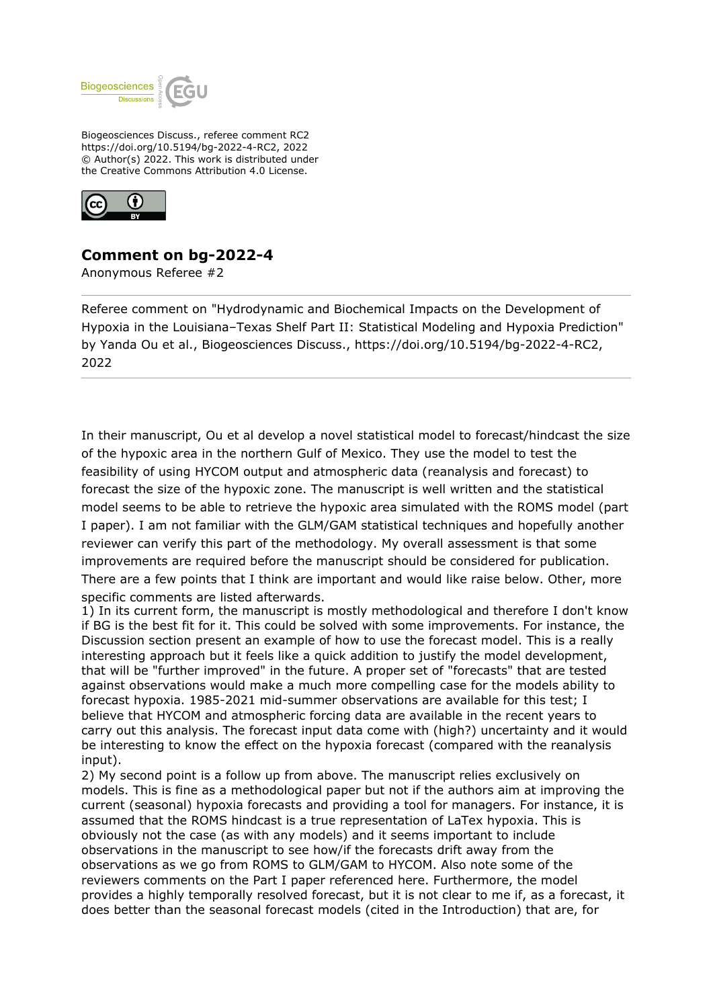

Biogeosciences Discuss., referee comment RC2 https://doi.org/10.5194/bg-2022-4-RC2, 2022 © Author(s) 2022. This work is distributed under the Creative Commons Attribution 4.0 License.



## **Comment on bg-2022-4**

Anonymous Referee #2

Referee comment on "Hydrodynamic and Biochemical Impacts on the Development of Hypoxia in the Louisiana–Texas Shelf Part II: Statistical Modeling and Hypoxia Prediction" by Yanda Ou et al., Biogeosciences Discuss., https://doi.org/10.5194/bg-2022-4-RC2, 2022

In their manuscript, Ou et al develop a novel statistical model to forecast/hindcast the size of the hypoxic area in the northern Gulf of Mexico. They use the model to test the feasibility of using HYCOM output and atmospheric data (reanalysis and forecast) to forecast the size of the hypoxic zone. The manuscript is well written and the statistical model seems to be able to retrieve the hypoxic area simulated with the ROMS model (part I paper). I am not familiar with the GLM/GAM statistical techniques and hopefully another reviewer can verify this part of the methodology. My overall assessment is that some improvements are required before the manuscript should be considered for publication. There are a few points that I think are important and would like raise below. Other, more specific comments are listed afterwards.

1) In its current form, the manuscript is mostly methodological and therefore I don't know if BG is the best fit for it. This could be solved with some improvements. For instance, the Discussion section present an example of how to use the forecast model. This is a really interesting approach but it feels like a quick addition to justify the model development, that will be "further improved" in the future. A proper set of "forecasts" that are tested against observations would make a much more compelling case for the models ability to forecast hypoxia. 1985-2021 mid-summer observations are available for this test; I believe that HYCOM and atmospheric forcing data are available in the recent years to carry out this analysis. The forecast input data come with (high?) uncertainty and it would be interesting to know the effect on the hypoxia forecast (compared with the reanalysis input).

2) My second point is a follow up from above. The manuscript relies exclusively on models. This is fine as a methodological paper but not if the authors aim at improving the current (seasonal) hypoxia forecasts and providing a tool for managers. For instance, it is assumed that the ROMS hindcast is a true representation of LaTex hypoxia. This is obviously not the case (as with any models) and it seems important to include observations in the manuscript to see how/if the forecasts drift away from the observations as we go from ROMS to GLM/GAM to HYCOM. Also note some of the reviewers comments on the Part I paper referenced here. Furthermore, the model provides a highly temporally resolved forecast, but it is not clear to me if, as a forecast, it does better than the seasonal forecast models (cited in the Introduction) that are, for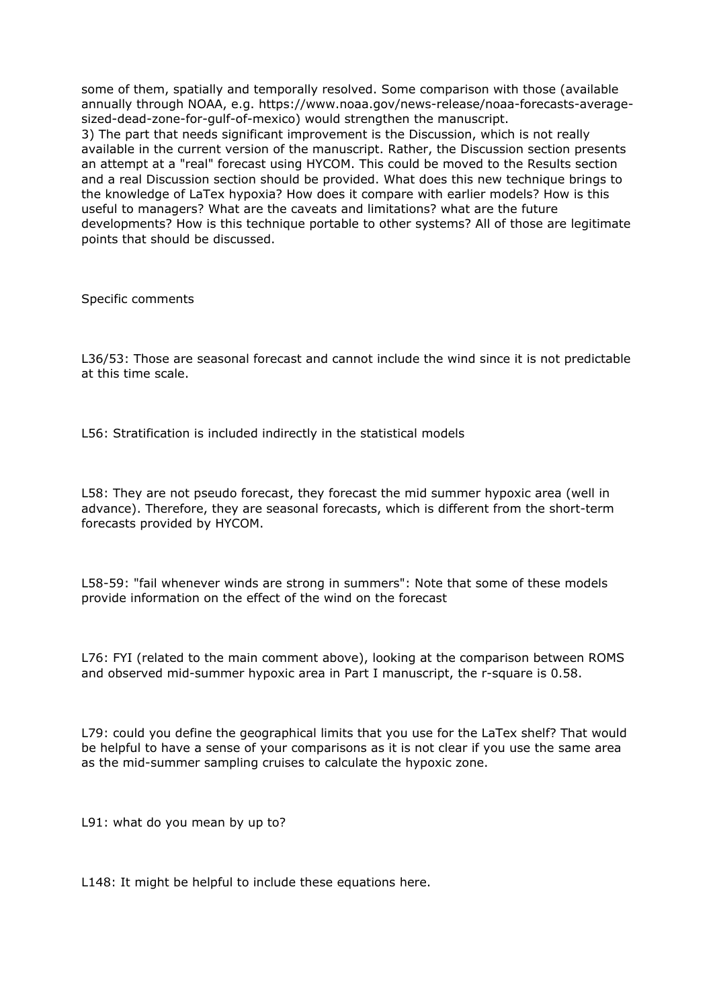some of them, spatially and temporally resolved. Some comparison with those (available annually through NOAA, e.g. https://www.noaa.gov/news-release/noaa-forecasts-averagesized-dead-zone-for-gulf-of-mexico) would strengthen the manuscript. 3) The part that needs significant improvement is the Discussion, which is not really available in the current version of the manuscript. Rather, the Discussion section presents an attempt at a "real" forecast using HYCOM. This could be moved to the Results section and a real Discussion section should be provided. What does this new technique brings to the knowledge of LaTex hypoxia? How does it compare with earlier models? How is this useful to managers? What are the caveats and limitations? what are the future developments? How is this technique portable to other systems? All of those are legitimate points that should be discussed.

Specific comments

L36/53: Those are seasonal forecast and cannot include the wind since it is not predictable at this time scale.

L56: Stratification is included indirectly in the statistical models

L58: They are not pseudo forecast, they forecast the mid summer hypoxic area (well in advance). Therefore, they are seasonal forecasts, which is different from the short-term forecasts provided by HYCOM.

L58-59: "fail whenever winds are strong in summers": Note that some of these models provide information on the effect of the wind on the forecast

L76: FYI (related to the main comment above), looking at the comparison between ROMS and observed mid-summer hypoxic area in Part I manuscript, the r-square is 0.58.

L79: could you define the geographical limits that you use for the LaTex shelf? That would be helpful to have a sense of your comparisons as it is not clear if you use the same area as the mid-summer sampling cruises to calculate the hypoxic zone.

L91: what do you mean by up to?

L148: It might be helpful to include these equations here.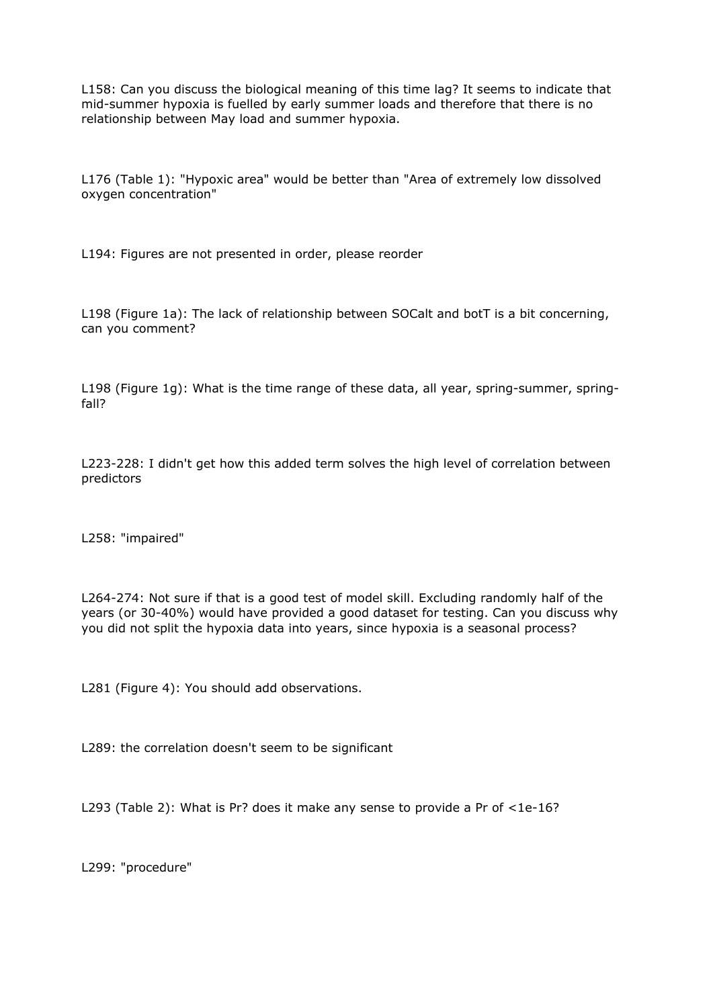L158: Can you discuss the biological meaning of this time lag? It seems to indicate that mid-summer hypoxia is fuelled by early summer loads and therefore that there is no relationship between May load and summer hypoxia.

L176 (Table 1): "Hypoxic area" would be better than "Area of extremely low dissolved oxygen concentration"

L194: Figures are not presented in order, please reorder

L198 (Figure 1a): The lack of relationship between SOCalt and botT is a bit concerning, can you comment?

L198 (Figure 1g): What is the time range of these data, all year, spring-summer, springfall?

L223-228: I didn't get how this added term solves the high level of correlation between predictors

L258: "impaired"

L264-274: Not sure if that is a good test of model skill. Excluding randomly half of the years (or 30-40%) would have provided a good dataset for testing. Can you discuss why you did not split the hypoxia data into years, since hypoxia is a seasonal process?

L281 (Figure 4): You should add observations.

L289: the correlation doesn't seem to be significant

L293 (Table 2): What is Pr? does it make any sense to provide a Pr of <1e-16?

L299: "procedure"